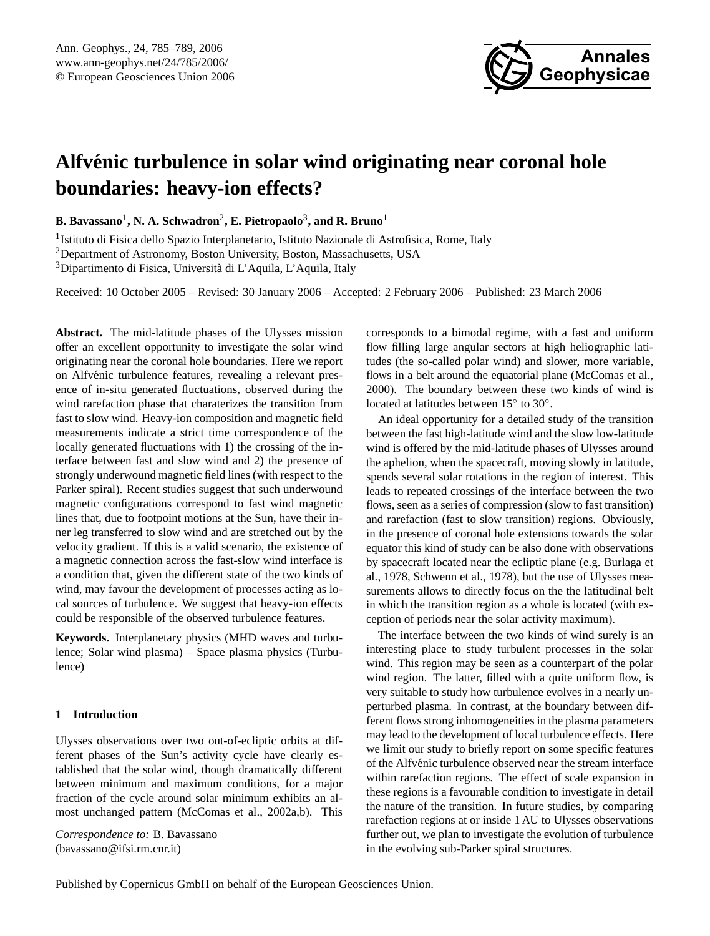

# **Alfvenic turbulence in solar wind originating near coronal hole ´ boundaries: heavy-ion effects?**

 ${\bf B.~Bavassano^1, N.~A.~Schwadron^2, E.~Pietropaolo^3, and ~{\bf R.~Bruno^1}$ 

<sup>1</sup> Istituto di Fisica dello Spazio Interplanetario, Istituto Nazionale di Astrofisica, Rome, Italy <sup>2</sup>Department of Astronomy, Boston University, Boston, Massachusetts, USA

<sup>3</sup>Dipartimento di Fisica, Universita di L'Aquila, L'Aquila, Italy `

Received: 10 October 2005 – Revised: 30 January 2006 – Accepted: 2 February 2006 – Published: 23 March 2006

**Abstract.** The mid-latitude phases of the Ulysses mission offer an excellent opportunity to investigate the solar wind originating near the coronal hole boundaries. Here we report on Alfvénic turbulence features, revealing a relevant presence of in-situ generated fluctuations, observed during the wind rarefaction phase that charaterizes the transition from fast to slow wind. Heavy-ion composition and magnetic field measurements indicate a strict time correspondence of the locally generated fluctuations with 1) the crossing of the interface between fast and slow wind and 2) the presence of strongly underwound magnetic field lines (with respect to the Parker spiral). Recent studies suggest that such underwound magnetic configurations correspond to fast wind magnetic lines that, due to footpoint motions at the Sun, have their inner leg transferred to slow wind and are stretched out by the velocity gradient. If this is a valid scenario, the existence of a magnetic connection across the fast-slow wind interface is a condition that, given the different state of the two kinds of wind, may favour the development of processes acting as local sources of turbulence. We suggest that heavy-ion effects could be responsible of the observed turbulence features.

**Keywords.** Interplanetary physics (MHD waves and turbulence; Solar wind plasma) – Space plasma physics (Turbulence)

# **1 Introduction**

Ulysses observations over two out-of-ecliptic orbits at different phases of the Sun's activity cycle have clearly established that the solar wind, though dramatically different between minimum and maximum conditions, for a major fraction of the cycle around solar minimum exhibits an almost unchanged pattern [\(McComas et al.,](#page-4-0) [2002a](#page-4-0)[,b\)](#page-4-1). This corresponds to a bimodal regime, with a fast and uniform flow filling large angular sectors at high heliographic latitudes (the so-called polar wind) and slower, more variable, flows in a belt around the equatorial plane (McComas et al., 2000). The boundary between these two kinds of wind is located at latitudes between 15° to 30°.

An ideal opportunity for a detailed study of the transition between the fast high-latitude wind and the slow low-latitude wind is offered by the mid-latitude phases of Ulysses around the aphelion, when the spacecraft, moving slowly in latitude, spends several solar rotations in the region of interest. This leads to repeated crossings of the interface between the two flows, seen as a series of compression (slow to fast transition) and rarefaction (fast to slow transition) regions. Obviously, in the presence of coronal hole extensions towards the solar equator this kind of study can be also done with observations by spacecraft located near the ecliptic plane (e.g. Burlaga et al., 1978, Schwenn et al., 1978), but the use of Ulysses measurements allows to directly focus on the the latitudinal belt in which the transition region as a whole is located (with exception of periods near the solar activity maximum).

The interface between the two kinds of wind surely is an interesting place to study turbulent processes in the solar wind. This region may be seen as a counterpart of the polar wind region. The latter, filled with a quite uniform flow, is very suitable to study how turbulence evolves in a nearly unperturbed plasma. In contrast, at the boundary between different flows strong inhomogeneities in the plasma parameters may lead to the development of local turbulence effects. Here we limit our study to briefly report on some specific features of the Alfvénic turbulence observed near the stream interface within rarefaction regions. The effect of scale expansion in these regions is a favourable condition to investigate in detail the nature of the transition. In future studies, by comparing rarefaction regions at or inside 1 AU to Ulysses observations further out, we plan to investigate the evolution of turbulence in the evolving sub-Parker spiral structures.

<span id="page-0-0"></span>*Correspondence to:* B. Bavassano (bavassano@ifsi.rm.cnr.it)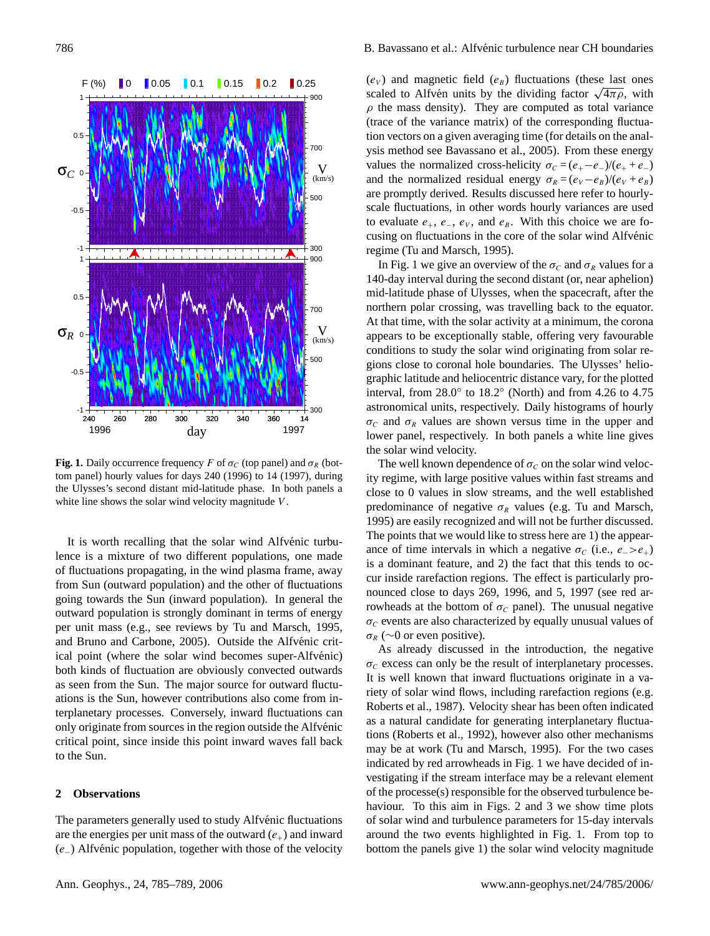

**Fig. 1.** Daily occurrence frequency F of  $\sigma_C$  (top panel) and  $\sigma_R$  (bottom panel) hourly values for days 240 (1996) to 14 (1997), during the Ulysses's second distant mid-latitude phase. In both panels a white line shows the solar wind velocity magnitude V.

It is worth recalling that the solar wind Alfvénic turbulence is a mixture of two different populations, one made of fluctuations propagating, in the wind plasma frame, away from Sun (outward population) and the other of fluctuations going towards the Sun (inward population). In general the outward population is strongly dominant in terms of energy per unit mass (e.g., see reviews by Tu and Marsch, 1995, and Bruno and Carbone, 2005). Outside the Alfvénic critical point (where the solar wind becomes super-Alfvénic) both kinds of fluctuation are obviously convected outwards as seen from the Sun. The major source for outward fluctuations is the Sun, however contributions also come from interplanetary processes. Conversely, inward fluctuations can only originate from sources in the region outside the Alfvénic critical point, since inside this point inward waves fall back to the Sun.

## **2 Observations**

The parameters generally used to study Alfvénic fluctuations are the energies per unit mass of the outward  $(e_{+})$  and inward  $(e_+)$  Alfvénic population, together with those of the velocity

 $(e_V)$  and magnetic field  $(e_B)$  fluctuations (these last ones scaled to Alfvén units by the dividing factor  $\sqrt{4\pi \rho}$ , with  $\rho$  the mass density). They are computed as total variance (trace of the variance matrix) of the corresponding fluctuation vectors on a given averaging time (for details on the analysis method see Bavassano et al., 2005). From these energy values the normalized cross-helicity  $\sigma_c = (e_+ - e_-)/(e_+ + e_-)$ and the normalized residual energy  $\sigma_R = (e_V - e_B)/(e_V + e_B)$ are promptly derived. Results discussed here refer to hourlyscale fluctuations, in other words hourly variances are used to evaluate  $e_+$ ,  $e_-$ ,  $e_V$ , and  $e_B$ . With this choice we are focusing on fluctuations in the core of the solar wind Alfvénic regime [\(Tu and Marsch,](#page-4-2) [1995\)](#page-4-2).

In Fig. 1 we give an overview of the  $\sigma_c$  and  $\sigma_R$  values for a 140-day interval during the second distant (or, near aphelion) mid-latitude phase of Ulysses, when the spacecraft, after the northern polar crossing, was travelling back to the equator. At that time, with the solar activity at a minimum, the corona appears to be exceptionally stable, offering very favourable conditions to study the solar wind originating from solar regions close to coronal hole boundaries. The Ulysses' heliographic latitude and heliocentric distance vary, for the plotted interval, from  $28.0^{\circ}$  to  $18.2^{\circ}$  (North) and from 4.26 to 4.75 astronomical units, respectively. Daily histograms of hourly  $\sigma_c$  and  $\sigma_R$  values are shown versus time in the upper and lower panel, respectively. In both panels a white line gives the solar wind velocity.

The well known dependence of  $\sigma_C$  on the solar wind velocity regime, with large positive values within fast streams and close to 0 values in slow streams, and the well established predominance of negative  $\sigma_R$  values (e.g. Tu and Marsch, 1995) are easily recognized and will not be further discussed. The points that we would like to stress here are 1) the appearance of time intervals in which a negative  $\sigma_c$  (i.e.,  $e_>=e_+$ ) is a dominant feature, and 2) the fact that this tends to occur inside rarefaction regions. The effect is particularly pronounced close to days 269, 1996, and 5, 1997 (see red arrowheads at the bottom of  $\sigma_C$  panel). The unusual negative  $\sigma_c$  events are also characterized by equally unusual values of  $\sigma_R$  (∼0 or even positive).

As already discussed in the introduction, the negative  $\sigma_c$  excess can only be the result of interplanetary processes. It is well known that inward fluctuations originate in a variety of solar wind flows, including rarefaction regions (e.g. Roberts et al., 1987). Velocity shear has been often indicated as a natural candidate for generating interplanetary fluctuations [\(Roberts et al.,](#page-4-3) [1992\)](#page-4-3), however also other mechanisms may be at work (Tu and Marsch, 1995). For the two cases indicated by red arrowheads in Fig. 1 we have decided of investigating if the stream interface may be a relevant element of the processe(s) responsible for the observed turbulence behaviour. To this aim in Figs. 2 and 3 we show time plots of solar wind and turbulence parameters for 15-day intervals around the two events highlighted in Fig. 1. From top to bottom the panels give 1) the solar wind velocity magnitude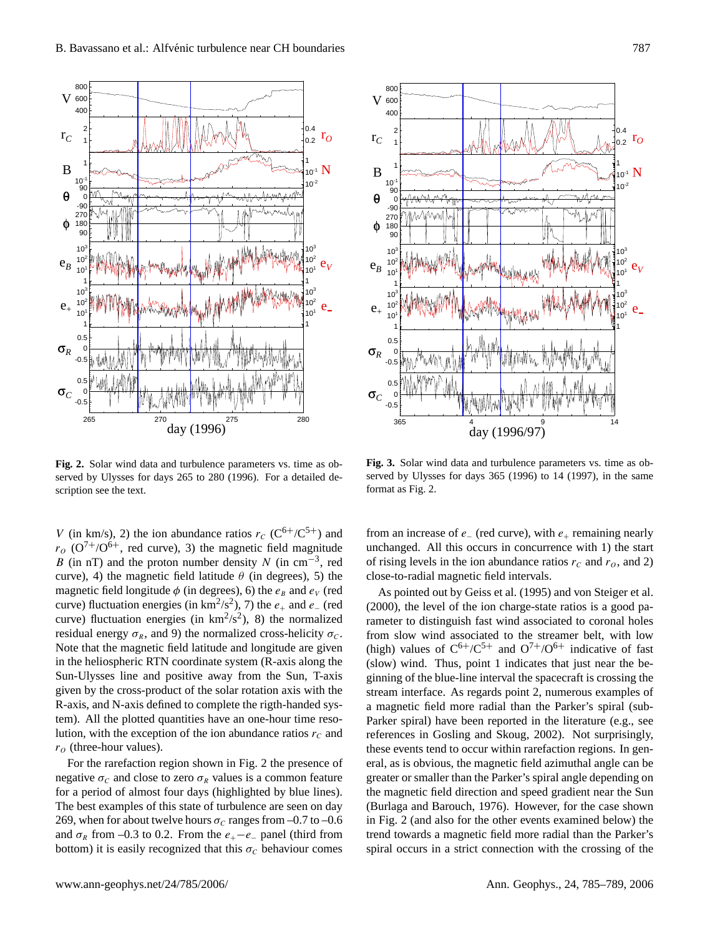

**Fig. 2.** Solar wind data and turbulence parameters vs. time as observed by Ulysses for days 265 to 280 (1996). For a detailed description see the text.

V (in km/s), 2) the ion abundance ratios  $r_c$  (C<sup>6+</sup>/C<sup>5+</sup>) and  $r_o$  (O<sup>7+</sup>/O<sup>6+</sup>, red curve), 3) the magnetic field magnitude B (in nT) and the proton number density N (in cm<sup>-3</sup>, red curve), 4) the magnetic field latitude  $\theta$  (in degrees), 5) the magnetic field longitude  $\phi$  (in degrees), 6) the  $e_B$  and  $e_V$  (red curve) fluctuation energies (in  $km^2/s^2$ ), 7) the  $e_+$  and  $e_-$  (red curve) fluctuation energies (in  $km^2/s^2$ ), 8) the normalized residual energy  $\sigma_R$ , and 9) the normalized cross-helicity  $\sigma_C$ . Note that the magnetic field latitude and longitude are given in the heliospheric RTN coordinate system (R-axis along the Sun-Ulysses line and positive away from the Sun, T-axis given by the cross-product of the solar rotation axis with the R-axis, and N-axis defined to complete the rigth-handed system). All the plotted quantities have an one-hour time resolution, with the exception of the ion abundance ratios  $r_c$  and  $r<sub>O</sub>$  (three-hour values).

For the rarefaction region shown in Fig. 2 the presence of negative  $\sigma_c$  and close to zero  $\sigma_R$  values is a common feature for a period of almost four days (highlighted by blue lines). The best examples of this state of turbulence are seen on day 269, when for about twelve hours  $\sigma_c$  ranges from –0.7 to –0.6 and  $\sigma_R$  from –0.3 to 0.2. From the  $e_+$ – $e_-$  panel (third from bottom) it is easily recognized that this  $\sigma_c$  behaviour comes



**Fig. 3.** Solar wind data and turbulence parameters vs. time as observed by Ulysses for days 365 (1996) to 14 (1997), in the same format as Fig. 2.

from an increase of  $e_$  (red curve), with  $e_+$  remaining nearly unchanged. All this occurs in concurrence with 1) the start of rising levels in the ion abundance ratios  $r_c$  and  $r_o$ , and 2) close-to-radial magnetic field intervals.

As pointed out by [Geiss et al.](#page-4-4) [\(1995\)](#page-4-4) and [von Steiger et al.](#page-4-5) [\(2000\)](#page-4-5), the level of the ion charge-state ratios is a good parameter to distinguish fast wind associated to coronal holes from slow wind associated to the streamer belt, with low (high) values of  $C^{6+}/C^{5+}$  and  $O^{7+}/O^{6+}$  indicative of fast (slow) wind. Thus, point 1 indicates that just near the beginning of the blue-line interval the spacecraft is crossing the stream interface. As regards point 2, numerous examples of a magnetic field more radial than the Parker's spiral (sub-Parker spiral) have been reported in the literature (e.g., see references in Gosling and Skoug, 2002). Not surprisingly, these events tend to occur within rarefaction regions. In general, as is obvious, the magnetic field azimuthal angle can be greater or smaller than the Parker's spiral angle depending on the magnetic field direction and speed gradient near the Sun (Burlaga and Barouch, 1976). However, for the case shown in Fig. 2 (and also for the other events examined below) the trend towards a magnetic field more radial than the Parker's spiral occurs in a strict connection with the crossing of the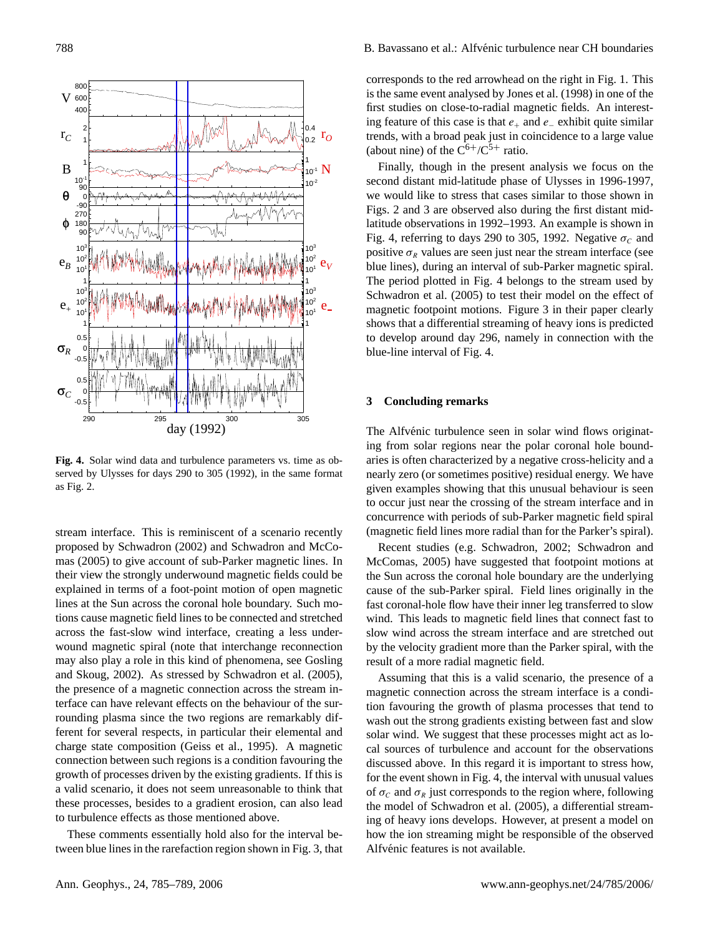

**Fig. 4.** Solar wind data and turbulence parameters vs. time as observed by Ulysses for days 290 to 305 (1992), in the same format as Fig. 2.

stream interface. This is reminiscent of a scenario recently proposed by [Schwadron](#page-4-6) [\(2002\)](#page-4-6) and [Schwadron and McCo](#page-4-7)[mas](#page-4-7) [\(2005\)](#page-4-7) to give account of sub-Parker magnetic lines. In their view the strongly underwound magnetic fields could be explained in terms of a foot-point motion of open magnetic lines at the Sun across the coronal hole boundary. Such motions cause magnetic field lines to be connected and stretched across the fast-slow wind interface, creating a less underwound magnetic spiral (note that interchange reconnection may also play a role in this kind of phenomena, see Gosling and Skoug, 2002). As stressed by [Schwadron et al.](#page-4-8) [\(2005\)](#page-4-8), the presence of a magnetic connection across the stream interface can have relevant effects on the behaviour of the surrounding plasma since the two regions are remarkably different for several respects, in particular their elemental and charge state composition [\(Geiss et al.,](#page-4-4) [1995\)](#page-4-4). A magnetic connection between such regions is a condition favouring the growth of processes driven by the existing gradients. If this is a valid scenario, it does not seem unreasonable to think that these processes, besides to a gradient erosion, can also lead to turbulence effects as those mentioned above.

These comments essentially hold also for the interval between blue lines in the rarefaction region shown in Fig. 3, that corresponds to the red arrowhead on the right in Fig. 1. This is the same event analysed by [Jones et al.](#page-4-9) [\(1998\)](#page-4-9) in one of the first studies on close-to-radial magnetic fields. An interesting feature of this case is that  $e_+$  and  $e_-$  exhibit quite similar trends, with a broad peak just in coincidence to a large value (about nine) of the  $C^{6+}/C^{5+}$  ratio.

Finally, though in the present analysis we focus on the second distant mid-latitude phase of Ulysses in 1996-1997, we would like to stress that cases similar to those shown in Figs. 2 and 3 are observed also during the first distant midlatitude observations in 1992–1993. An example is shown in Fig. 4, referring to days 290 to 305, 1992. Negative  $\sigma_c$  and positive  $\sigma_R$  values are seen just near the stream interface (see blue lines), during an interval of sub-Parker magnetic spiral. The period plotted in Fig. 4 belongs to the stream used by [Schwadron et al.](#page-4-8) [\(2005\)](#page-4-8) to test their model on the effect of magnetic footpoint motions. Figure 3 in their paper clearly shows that a differential streaming of heavy ions is predicted to develop around day 296, namely in connection with the blue-line interval of Fig. 4.

### **3 Concluding remarks**

The Alfvénic turbulence seen in solar wind flows originating from solar regions near the polar coronal hole boundaries is often characterized by a negative cross-helicity and a nearly zero (or sometimes positive) residual energy. We have given examples showing that this unusual behaviour is seen to occur just near the crossing of the stream interface and in concurrence with periods of sub-Parker magnetic field spiral (magnetic field lines more radial than for the Parker's spiral).

Recent studies (e.g. Schwadron, 2002; Schwadron and McComas, 2005) have suggested that footpoint motions at the Sun across the coronal hole boundary are the underlying cause of the sub-Parker spiral. Field lines originally in the fast coronal-hole flow have their inner leg transferred to slow wind. This leads to magnetic field lines that connect fast to slow wind across the stream interface and are stretched out by the velocity gradient more than the Parker spiral, with the result of a more radial magnetic field.

Assuming that this is a valid scenario, the presence of a magnetic connection across the stream interface is a condition favouring the growth of plasma processes that tend to wash out the strong gradients existing between fast and slow solar wind. We suggest that these processes might act as local sources of turbulence and account for the observations discussed above. In this regard it is important to stress how, for the event shown in Fig. 4, the interval with unusual values of  $\sigma_c$  and  $\sigma_R$  just corresponds to the region where, following the model of [Schwadron et al.](#page-4-8) [\(2005\)](#page-4-8), a differential streaming of heavy ions develops. However, at present a model on how the ion streaming might be responsible of the observed Alfvénic features is not available.